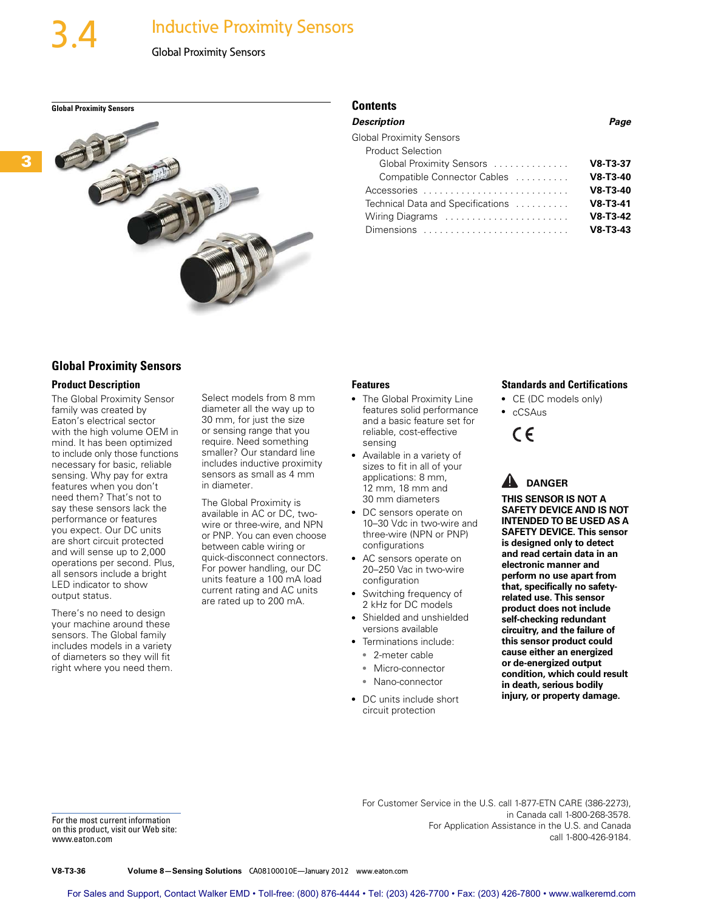# **Inductive Proximity Sensors**

**Global Proximity Sensors** Contents



| Description                       | Page       |
|-----------------------------------|------------|
| <b>Global Proximity Sensors</b>   |            |
| <b>Product Selection</b>          |            |
| Global Proximity Sensors          | $V8-T3-37$ |
| Compatible Connector Cables       | $V8-T3-40$ |
| Accessories                       | $V8-T3-40$ |
| Technical Data and Specifications | $V8-T3-41$ |
| Wiring Diagrams                   | $V8-T3-42$ |
| Dimensions                        | $V8-T3-43$ |

# **Global Proximity Sensors**

#### **Product Description**

The Global Proximity Sensor family was created by Eaton's electrical sector with the high volume OEM in mind. It has been optimized to include only those functions necessary for basic, reliable sensing. Why pay for extra features when you don't need them? That's not to say these sensors lack the performance or features you expect. Our DC units are short circuit protected and will sense up to 2,000 operations per second. Plus, all sensors include a bright LED indicator to show output status.

There's no need to design your machine around these sensors. The Global family includes models in a variety of diameters so they will fit right where you need them.

Select models from 8 mm diameter all the way up to 30 mm, for just the size or sensing range that you require. Need something smaller? Our standard line includes inductive proximity sensors as small as 4 mm in diameter.

The Global Proximity is available in AC or DC, twowire or three-wire, and NPN or PNP. You can even choose between cable wiring or quick-disconnect connectors. For power handling, our DC units feature a 100 mA load current rating and AC units are rated up to 200 mA.

#### **Features**

- The Global Proximity Line features solid performance and a basic feature set for reliable, cost-effective sensing
- Available in a variety of sizes to fit in all of your applications: 8 mm, 12 mm, 18 mm and 30 mm diameters
- DC sensors operate on 10–30 Vdc in two-wire and three-wire (NPN or PNP) configurations
- AC sensors operate on 20–250 Vac in two-wire configuration
- Switching frequency of 2 kHz for DC models
- Shielded and unshielded versions available
- Terminations include: ● 2-meter cable
- Micro-connector
- 
- Nano-connector
- DC units include short circuit protection

#### **Standards and Certifications**

- CE (DC models only)
- cCSAus



# A DANGER

**THIS SENSOR IS NOT A SAFETY DEVICE AND IS NOT INTENDED TO BE USED AS A SAFETY DEVICE. This sensor is designed only to detect and read certain data in an electronic manner and perform no use apart from that, specifically no safetyrelated use. This sensor product does not include self-checking redundant circuitry, and the failure of this sensor product could cause either an energized or de-energized output condition, which could result in death, serious bodily injury, or property damage.**

For the most current information on this product, visit our Web site: www.eaton.com

For Customer Service in the U.S. call 1-877-ETN CARE (386-2273), in Canada call 1-800-268-3578. For Application Assistance in the U.S. and Canada call 1-800-426-9184.

**V8-T3-36 Volume 8—Sensing Solutions** CA08100010E—January 2012 www.eaton.com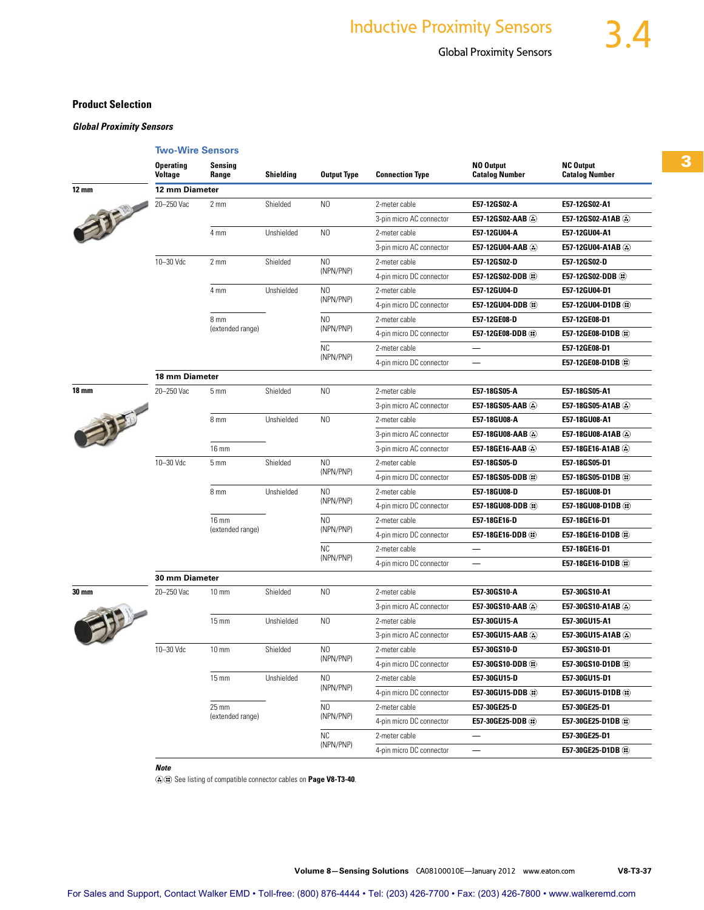## **Product Selection**

*Global Proximity Sensors*

|              | <b>Two-Wire Sensors</b>     |                                  |                        |                                                                                                  |                          |                                    |                                           |  |  |  |
|--------------|-----------------------------|----------------------------------|------------------------|--------------------------------------------------------------------------------------------------|--------------------------|------------------------------------|-------------------------------------------|--|--|--|
|              | <b>Operating</b><br>Voltage | Sensina<br>Range                 | <b>Shielding</b>       | <b>Output Type</b>                                                                               | <b>Connection Type</b>   | NO Output<br><b>Catalog Number</b> | <b>NC Output</b><br><b>Catalog Number</b> |  |  |  |
| <b>12 mm</b> | 12 mm Diameter              |                                  |                        |                                                                                                  |                          |                                    |                                           |  |  |  |
| 打            | 20-250 Vac                  | 2 <sub>mm</sub>                  | Shielded               | N <sub>0</sub>                                                                                   | 2-meter cable            | E57-12GS02-A                       | E57-12GS02-A1                             |  |  |  |
|              |                             |                                  |                        |                                                                                                  | 3-pin micro AC connector | E57-12GS02-AAB (2)                 | E57-12GS02-A1AB (2)                       |  |  |  |
|              |                             | 4 mm                             | Unshielded             | N <sub>0</sub>                                                                                   | 2-meter cable            | E57-12GU04-A                       | E57-12GU04-A1                             |  |  |  |
|              |                             |                                  |                        |                                                                                                  | 3-pin micro AC connector | E57-12GU04-AAB                     | E57-12GU04-A1AB (2)                       |  |  |  |
|              | 10-30 Vdc                   | 2 <sub>mm</sub>                  | Shielded               | N <sub>0</sub><br>(NPN/PNP)                                                                      | 2-meter cable            | E57-12GS02-D                       | E57-12GS02-D                              |  |  |  |
|              |                             |                                  |                        |                                                                                                  | 4-pin micro DC connector | E57-12GS02-DDB (::)                | E57-12GS02-DDB (*)                        |  |  |  |
|              |                             | 4 mm                             | Unshielded             | N <sub>0</sub>                                                                                   | 2-meter cable            | E57-12GU04-D                       | E57-12GU04-D1                             |  |  |  |
|              |                             |                                  |                        | (NPN/PNP)                                                                                        | 4-pin micro DC connector | E57-12GU04-DDB (:)                 | E57-12GU04-D1DB (**)                      |  |  |  |
|              |                             | 8 mm                             |                        | N <sub>0</sub>                                                                                   | 2-meter cable            | E57-12GE08-D                       | E57-12GE08-D1                             |  |  |  |
|              |                             | (extended range)                 |                        | (NPN/PNP)                                                                                        | 4-pin micro DC connector | E57-12GE08-DDB ®                   | E57-12GE08-D1DB (2)                       |  |  |  |
|              |                             |                                  |                        | <b>NC</b>                                                                                        | 2-meter cable            | —                                  | E57-12GE08-D1                             |  |  |  |
|              |                             |                                  |                        | (NPN/PNP)                                                                                        | 4-pin micro DC connector | $\overline{\phantom{0}}$           | E57-12GE08-D1DB (2)                       |  |  |  |
|              | 18 mm Diameter              |                                  |                        |                                                                                                  |                          |                                    |                                           |  |  |  |
| <b>18 mm</b> | 20-250 Vac                  | 5 <sub>mm</sub>                  | Shielded               | N <sub>0</sub>                                                                                   | 2-meter cable            | E57-18GS05-A                       | E57-18GS05-A1                             |  |  |  |
| 一起           |                             |                                  |                        |                                                                                                  | 3-pin micro AC connector | E57-18GS05-AAB (2)                 | E57-18GS05-A1AB                           |  |  |  |
|              |                             | 8 mm                             | Unshielded             | N <sub>0</sub>                                                                                   | 2-meter cable            | E57-18GU08-A                       | E57-18GU08-A1                             |  |  |  |
|              |                             |                                  |                        |                                                                                                  | 3-pin micro AC connector | E57-18GU08-AAB                     | E57-18GU08-A1AB (2)                       |  |  |  |
|              |                             | <b>16 mm</b>                     |                        |                                                                                                  | 3-pin micro AC connector | E57-18GE16-AAB                     | E57-18GE16-A1AB                           |  |  |  |
|              | 10-30 Vdc                   | 5 <sub>mm</sub>                  | Shielded<br>Unshielded | N <sub>0</sub><br>(NPN/PNP)<br>NO<br>(NPN/PNP)<br>N <sub>0</sub><br>(NPN/PNP)<br>NC<br>(NPN/PNP) | 2-meter cable            | E57-18GS05-D                       | E57-18GS05-D1                             |  |  |  |
|              |                             |                                  |                        |                                                                                                  | 4-pin micro DC connector | E57-18GS05-DDB (:)                 | E57-18GS05-D1DB (2)                       |  |  |  |
|              |                             | 8 mm                             |                        |                                                                                                  | 2-meter cable            | E57-18GU08-D                       | E57-18GU08-D1                             |  |  |  |
|              |                             |                                  |                        |                                                                                                  | 4-pin micro DC connector | E57-18GU08-DDB (2)                 | E57-18GU08-D1DB (**)                      |  |  |  |
|              |                             | <b>16 mm</b><br>(extended range) |                        |                                                                                                  | 2-meter cable            | E57-18GE16-D                       | E57-18GE16-D1                             |  |  |  |
|              |                             |                                  |                        |                                                                                                  | 4-pin micro DC connector | E57-18GE16-DDB (2)                 | E57-18GE16-D1DB (2)                       |  |  |  |
|              |                             |                                  |                        |                                                                                                  | 2-meter cable            | —                                  | E57-18GE16-D1                             |  |  |  |
|              |                             |                                  |                        |                                                                                                  | 4-pin micro DC connector |                                    | E57-18GE16-D1DB (1)                       |  |  |  |
|              | 30 mm Diameter              |                                  |                        |                                                                                                  |                          |                                    |                                           |  |  |  |
| 30 mm        | 20-250 Vac                  | $10 \, \text{mm}$                | Shielded               | N <sub>0</sub>                                                                                   | 2-meter cable            | E57-30GS10-A                       | E57-30GS10-A1                             |  |  |  |
|              |                             |                                  |                        |                                                                                                  | 3-pin micro AC connector | E57-30GS10-AAB                     | E57-30GS10-A1AB (2)                       |  |  |  |
|              |                             | <b>15 mm</b>                     | Unshielded             | N <sub>0</sub>                                                                                   | 2-meter cable            | E57-30GU15-A                       | E57-30GU15-A1                             |  |  |  |
|              |                             |                                  |                        |                                                                                                  | 3-pin micro AC connector | E57-30GU15-AAB                     | E57-30GU15-A1AB                           |  |  |  |
|              | 10-30 Vdc                   | $10 \text{ mm}$                  | Shielded               | N <sub>0</sub>                                                                                   | 2-meter cable            | E57-30GS10-D                       | E57-30GS10-D1                             |  |  |  |
|              |                             |                                  |                        | (NPN/PNP)                                                                                        | 4-pin micro DC connector | E57-30GS10-DDB (1)                 | E57-30GS10-D1DB                           |  |  |  |
|              |                             | $15 \text{ mm}$                  | Unshielded             | NO.                                                                                              | 2-meter cable            | E57-30GU15-D                       | E57-30GU15-D1                             |  |  |  |
|              |                             |                                  |                        | (NPN/PNP)                                                                                        | 4-pin micro DC connector | E57-30GU15-DDB (ii)                | E57-30GU15-D1DB (2)                       |  |  |  |
|              |                             | 25 mm                            |                        | N0                                                                                               | 2-meter cable            | E57-30GE25-D                       | E57-30GE25-D1                             |  |  |  |
|              |                             | (extended range)                 |                        | (NPN/PNP)                                                                                        | 4-pin micro DC connector | E57-30GE25-DDB ®                   | E57-30GE25-D1DB (3)                       |  |  |  |
|              |                             |                                  |                        | <b>NC</b>                                                                                        | 2-meter cable            | —                                  | E57-30GE25-D1                             |  |  |  |
|              |                             |                                  |                        | (NPN/PNP)                                                                                        | 4-pin micro DC connector |                                    | E57-30GE25-D1DB (2)                       |  |  |  |

See listing of compatible connector cables on **Page V8-T3-40**.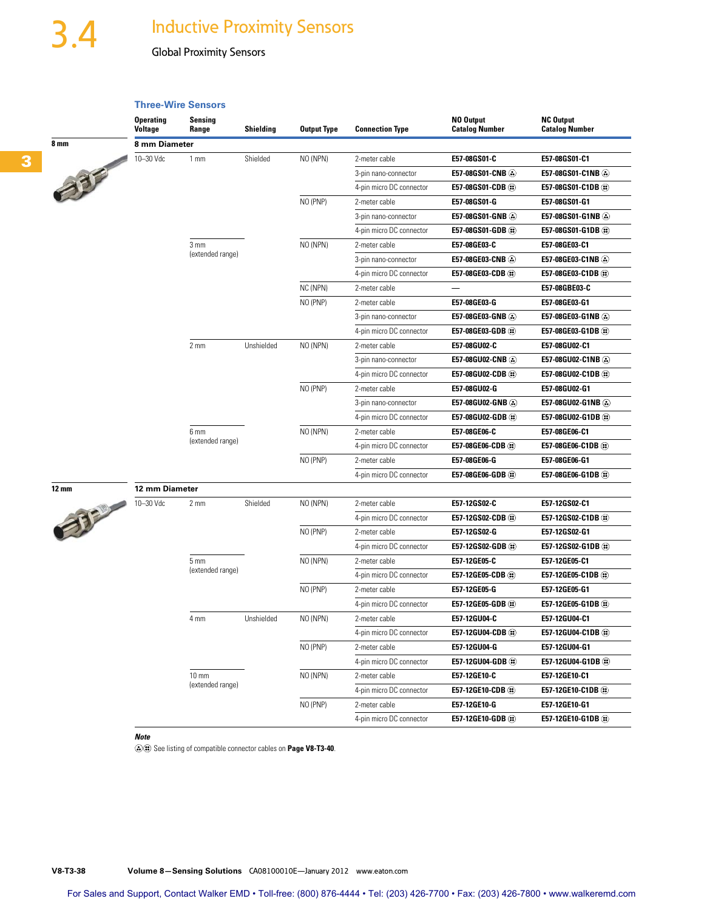# 3.4 Inductive Proximity Sensors

# Global Proximity Sensors

## **Three-Wire Sensors**



|       | <b>Operating</b><br><b>Voltage</b> | Sensing<br>Range | Shielding  | <b>Output Type</b> | <b>Connection Type</b>   | NO Output<br><b>Catalog Number</b> | <b>NC Output</b><br><b>Catalog Number</b> |
|-------|------------------------------------|------------------|------------|--------------------|--------------------------|------------------------------------|-------------------------------------------|
| 8 mm  | 8 mm Diameter                      |                  |            |                    |                          |                                    |                                           |
|       | 10-30 Vdc                          | 1 <sub>mm</sub>  | Shielded   | NO (NPN)           | 2-meter cable            | E57-08GS01-C                       | E57-08GS01-C1                             |
| 335   |                                    |                  |            |                    | 3-pin nano-connector     | E57-08GS01-CNB                     | E57-08GS01-C1NB                           |
|       |                                    |                  |            |                    | 4-pin micro DC connector | E57-08GS01-CDB (2)                 | E57-08GS01-C1DB (2)                       |
|       |                                    |                  |            | NO (PNP)           | 2-meter cable            | E57-08GS01-G                       | E57-08GS01-G1                             |
|       |                                    |                  |            |                    | 3-pin nano-connector     | E57-08GS01-GNB                     | E57-08GS01-G1NB                           |
|       |                                    |                  |            |                    | 4-pin micro DC connector | E57-08GS01-GDB (:)                 | E57-08GS01-G1DB (2)                       |
|       |                                    | 3 <sub>mm</sub>  |            | NO (NPN)           | 2-meter cable            | E57-08GE03-C                       | E57-08GE03-C1                             |
|       |                                    | (extended range) |            |                    | 3-pin nano-connector     | E57-08GE03-CNB                     | E57-08GE03-C1NB                           |
|       |                                    |                  |            |                    | 4-pin micro DC connector | E57-08GE03-CDB (2)                 | E57-08GE03-C1DB (2)                       |
|       |                                    |                  |            | NC (NPN)           | 2-meter cable            |                                    | E57-08GBE03-C                             |
|       |                                    |                  |            | NO (PNP)           | 2-meter cable            | E57-08GE03-G                       | E57-08GE03-G1                             |
|       |                                    |                  |            |                    | 3-pin nano-connector     | E57-08GE03-GNB                     | E57-08GE03-G1NB                           |
|       |                                    |                  |            |                    | 4-pin micro DC connector | E57-08GE03-GDB (3)                 | E57-08GE03-G1DB                           |
|       |                                    | 2 mm             | Unshielded | NO (NPN)           | 2-meter cable            | E57-08GU02-C                       | E57-08GU02-C1                             |
|       |                                    |                  |            |                    | 3-pin nano-connector     | E57-08GU02-CNB                     | E57-08GU02-C1NB                           |
|       |                                    |                  |            |                    | 4-pin micro DC connector | E57-08GU02-CDB (:)                 | E57-08GU02-C1DB (**)                      |
|       |                                    |                  |            | NO (PNP)           | 2-meter cable            | E57-08GU02-G                       | E57-08GU02-G1                             |
|       |                                    |                  |            |                    | 3-pin nano-connector     | E57-08GU02-GNB                     | E57-08GU02-G1NB                           |
|       |                                    |                  |            |                    | 4-pin micro DC connector | E57-08GU02-GDB (2)                 | E57-08GU02-G1DB (2)                       |
|       |                                    | 6 mm             |            | NO (NPN)           | 2-meter cable            | E57-08GE06-C                       | E57-08GE06-C1                             |
|       |                                    | (extended range) |            |                    | 4-pin micro DC connector | E57-08GE06-CDB (3)                 | E57-08GE06-C1DB (2)                       |
|       |                                    |                  |            | NO (PNP)           | 2-meter cable            | E57-08GE06-G                       | E57-08GE06-G1                             |
|       |                                    |                  |            |                    | 4-pin micro DC connector | E57-08GE06-GDB (1)                 | E57-08GE06-G1DB (1)                       |
| 12 mm | 12 mm Diameter                     |                  |            |                    |                          |                                    |                                           |
| 332   | 10-30 Vdc                          | $2 \, \text{mm}$ | Shielded   | NO (NPN)           | 2-meter cable            | E57-12GS02-C                       | E57-12GS02-C1                             |
|       |                                    |                  |            |                    | 4-pin micro DC connector | E57-12GS02-CDB (ii)                | E57-12GS02-C1DB (#)                       |
|       |                                    |                  |            | NO (PNP)           | 2-meter cable            | E57-12GS02-G                       | E57-12GS02-G1                             |
|       |                                    |                  |            |                    | 4-pin micro DC connector | E57-12GS02-GDB (:)                 | E57-12GS02-G1DB (*)                       |
|       |                                    | 5 <sub>mm</sub>  |            | NO (NPN)           | 2-meter cable            | E57-12GE05-C                       | E57-12GE05-C1                             |
|       |                                    | (extended range) |            |                    | 4-pin micro DC connector | E57-12GE05-CDB (3)                 | E57-12GE05-C1DB (2)                       |
|       |                                    |                  |            | NO (PNP)           | 2-meter cable            | E57-12GE05-G                       | E57-12GE05-G1                             |
|       |                                    |                  |            |                    | 4-pin micro DC connector | E57-12GE05-GDB (ii)                | E57-12GE05-G1DB (2)                       |
|       |                                    | 4 mm             | Unshielded | NO (NPN)           | 2-meter cable            | E57-12GU04-C                       | E57-12GU04-C1                             |
|       |                                    |                  |            |                    | 4-pin micro DC connector | E57-12GU04-CDB (2)                 | E57-12GU04-C1DB (3)                       |
|       |                                    |                  |            | NO (PNP)           | 2-meter cable            | E57-12GU04-G                       | E57-12GU04-G1                             |
|       |                                    |                  |            |                    | 4-pin micro DC connector | E57-12GU04-GDB ®                   | E57-12GU04-G1DB (2)                       |
|       |                                    | $10 \text{ mm}$  |            | NO (NPN)           | 2-meter cable            | E57-12GE10-C                       | E57-12GE10-C1                             |
|       |                                    | (extended range) |            |                    | 4-pin micro DC connector | E57-12GE10-CDB (:)                 | E57-12GE10-C1DB ®                         |
|       |                                    |                  |            | NO (PNP)           | 2-meter cable            | E57-12GE10-G                       | E57-12GE10-G1                             |
|       |                                    |                  |            |                    | 4-pin micro DC connector | E57-12GE10-GDB ®                   | E57-12GE10-G1DB                           |

#### *Note*

See listing of compatible connector cables on **Page V8-T3-40**.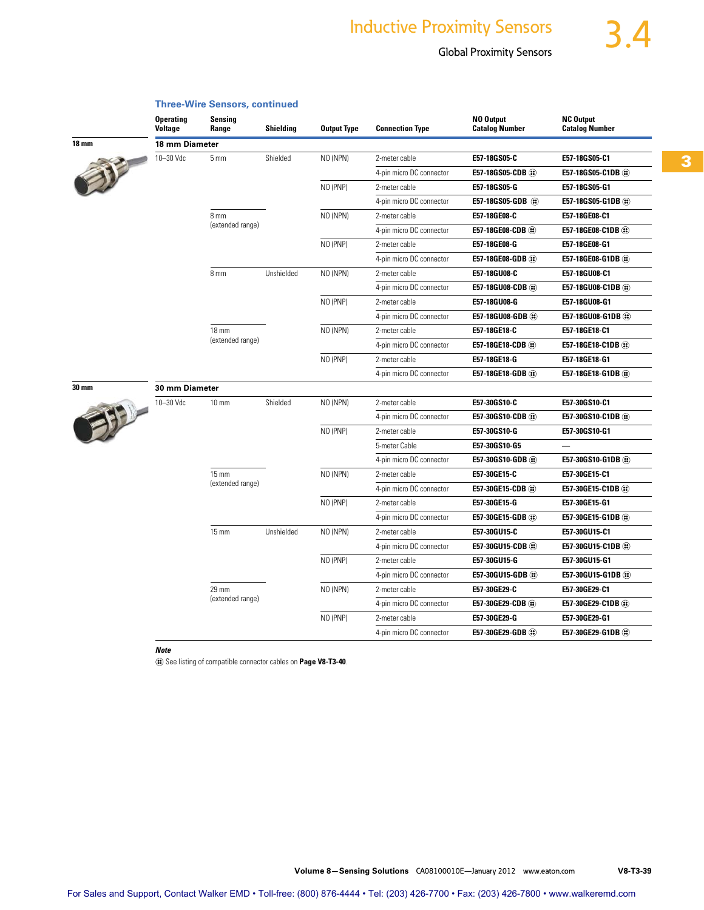# **Inductive Proximity Sensors**

# Global Proximity Sensors

**NC Output**

**NO Output**

| <b>Voltage</b> | Range            | <b>Shielding</b> | <b>Output Type</b> | <b>Connection Type</b>   | <b>Catalog Number</b> | <b>Catalog Number</b> |
|----------------|------------------|------------------|--------------------|--------------------------|-----------------------|-----------------------|
| 18 mm Diameter |                  |                  |                    |                          |                       |                       |
| 10-30 Vdc      | 5 <sub>mm</sub>  | Shielded         | NO (NPN)           | 2-meter cable            | E57-18GS05-C          | E57-18GS05-C1         |
|                |                  |                  |                    | 4-pin micro DC connector | E57-18GS05-CDB (2)    | E57-18GS05-C1DB       |
|                |                  |                  | NO (PNP)           | 2-meter cable            | E57-18GS05-G          | E57-18GS05-G1         |
|                |                  |                  |                    | 4-pin micro DC connector | E57-18GS05-GDB (:)    | E57-18GS05-G1DB       |
|                | 8 mm             |                  | NO (NPN)           | 2-meter cable            | E57-18GE08-C          | E57-18GE08-C1         |
|                | (extended range) |                  |                    | 4-pin micro DC connector | E57-18GE08-CDB (2)    | E57-18GE08-C1DB       |
|                |                  |                  | NO (PNP)           | 2-meter cable            | E57-18GE08-G          | E57-18GE08-G1         |
|                |                  |                  |                    | 4-pin micro DC connector | E57-18GE08-GDB (2)    | E57-18GE08-G1DB       |
|                | 8 mm             | Unshielded       | NO (NPN)           | 2-meter cable            | E57-18GU08-C          | E57-18GU08-C1         |
|                |                  |                  |                    | 4-pin micro DC connector | E57-18GU08-CDB (2)    | E57-18GU08-C1DB       |
|                |                  |                  | NO (PNP)           | 2-meter cable            | E57-18GU08-G          | E57-18GU08-G1         |
|                |                  |                  |                    | 4-pin micro DC connector | E57-18GU08-GDB (2)    | E57-18GU08-G1DB       |
|                | $18 \text{ mm}$  |                  | NO (NPN)           | 2-meter cable            | E57-18GE18-C          | E57-18GE18-C1         |
|                | (extended range) |                  |                    | 4-pin micro DC connector | E57-18GE18-CDB (2)    | E57-18GE18-C1DB       |
|                |                  |                  | NO (PNP)           | 2-meter cable            | E57-18GE18-G          | E57-18GE18-G1         |
|                |                  |                  |                    | 4-pin micro DC connector | E57-18GE18-GDB (2)    | E57-18GE18-G1DB       |
| 30 mm Diameter |                  |                  |                    |                          |                       |                       |
| 10-30 Vdc      | $10 \text{ mm}$  | Shielded         | NO (NPN)           | 2-meter cable            | E57-30GS10-C          | E57-30GS10-C1         |
|                |                  |                  |                    | 4-pin micro DC connector | E57-30GS10-CDB (:)    | E57-30GS10-C1DB       |
|                |                  |                  | NO (PNP)           | 2-meter cable            | E57-30GS10-G          | E57-30GS10-G1         |
|                |                  |                  |                    | 5-meter Cable            | E57-30GS10-G5         | $\qquad \qquad -$     |
|                |                  |                  |                    | 4-pin micro DC connector | E57-30GS10-GDB (2)    | E57-30GS10-G1DB       |
|                | $15 \text{ mm}$  |                  | NO (NPN)           | 2-meter cable            | E57-30GE15-C          | E57-30GE15-C1         |
|                | (extended range) |                  |                    | 4-pin micro DC connector | E57-30GE15-CDB (2)    | E57-30GE15-C1DB       |
|                |                  |                  | NO (PNP)           | 2-meter cable            | E57-30GE15-G          | E57-30GE15-G1         |
|                |                  |                  |                    | 4-pin micro DC connector | E57-30GE15-GDB (1)    | E57-30GE15-G1DB       |
|                | $15 \text{ mm}$  | Unshielded       | NO (NPN)           | 2-meter cable            | E57-30GU15-C          | E57-30GU15-C1         |
|                |                  |                  |                    | 4-pin micro DC connector | E57-30GU15-CDB (2)    | E57-30GU15-C1DB       |
|                |                  |                  | NO (PNP)           | 2-meter cable            | E57-30GU15-G          | E57-30GU15-G1         |
|                |                  |                  |                    | 4-pin micro DC connector | E57-30GU15-GDB (2)    | E57-30GU15-G1DB       |
|                | 29 mm            |                  | NO (NPN)           | 2-meter cable            | E57-30GE29-C          | E57-30GE29-C1         |
|                | (extended range) |                  |                    | 4-pin micro DC connector | E57-30GE29-CDB (2)    | E57-30GE29-C1DB       |
|                |                  |                  | NO (PNP)           | 2-meter cable            | E57-30GE29-G          | E57-30GE29-G1         |

### **Three-Wire Sensors, continued Sensing**

**Operating**



**18 mm** 

**30 mm** 

|                |                  |            |          | 4-pin micro DC connector | E57-18GU08-CDB (2)  | E57-18GU08-C1DB (3)  |
|----------------|------------------|------------|----------|--------------------------|---------------------|----------------------|
|                |                  |            | NO (PNP) | 2-meter cable            | E57-18GU08-G        | E57-18GU08-G1        |
|                |                  |            |          | 4-pin micro DC connector | E57-18GU08-GDB (2)  | E57-18GU08-G1DB (2)  |
|                | $18 \text{ mm}$  |            | NO (NPN) | 2-meter cable            | E57-18GE18-C        | E57-18GE18-C1        |
|                | (extended range) |            |          | 4-pin micro DC connector | E57-18GE18-CDB (2)  | E57-18GE18-C1DB (2)  |
|                |                  |            | NO (PNP) | 2-meter cable            | E57-18GE18-G        | E57-18GE18-G1        |
|                |                  |            |          | 4-pin micro DC connector | E57-18GE18-GDB (2)  | E57-18GE18-G1DB (:)  |
| 30 mm Diameter |                  |            |          |                          |                     |                      |
| 10-30 Vdc      | $10 \text{ mm}$  | Shielded   | NO (NPN) | 2-meter cable            | E57-30GS10-C        | E57-30GS10-C1        |
|                |                  |            |          | 4-pin micro DC connector | E57-30GS10-CDB (1)  | E57-30GS10-C1DB (:)  |
|                |                  |            | NO (PNP) | 2-meter cable            | E57-30GS10-G        | E57-30GS10-G1        |
|                |                  |            |          | 5-meter Cable            | E57-30GS10-G5       |                      |
|                |                  |            |          | 4-pin micro DC connector | E57-30GS10-GDB (2)  | E57-30GS10-G1DB (:)  |
|                | $15 \text{ mm}$  |            | NO (NPN) | 2-meter cable            | E57-30GE15-C        | E57-30GE15-C1        |
|                | (extended range) |            |          | 4-pin micro DC connector | E57-30GE15-CDB (2)  | E57-30GE15-C1DB (2)  |
|                |                  |            | NO (PNP) | 2-meter cable            | E57-30GE15-G        | E57-30GE15-G1        |
|                |                  |            |          | 4-pin micro DC connector | E57-30GE15-GDB (2)  | E57-30GE15-G1DB (2)  |
|                | $15 \text{ mm}$  | Unshielded | NO (NPN) | 2-meter cable            | E57-30GU15-C        | E57-30GU15-C1        |
|                |                  |            |          | 4-pin micro DC connector | E57-30GU15-CDB (ii) | E57-30GU15-C1DB (ii) |
|                |                  |            | NO (PNP) | 2-meter cable            | E57-30GU15-G        | E57-30GU15-G1        |
|                |                  |            |          | 4-pin micro DC connector | E57-30GU15-GDB (2)  | E57-30GU15-G1DB (2)  |
|                | 29 mm            |            | NO (NPN) | 2-meter cable            | E57-30GE29-C        | E57-30GE29-C1        |
|                | (extended range) |            |          | 4-pin micro DC connector | E57-30GE29-CDB (3)  | E57-30GE29-C1DB (2)  |
|                |                  |            | NO (PNP) | 2-meter cable            | E57-30GE29-G        | E57-30GE29-G1        |
|                |                  |            |          | 4-pin micro DC connector | E57-30GE29-GDB (3)  | E57-30GE29-G1DB (:)  |

#### *Note*

See listing of compatible connector cables on **Page V8-T3-40**.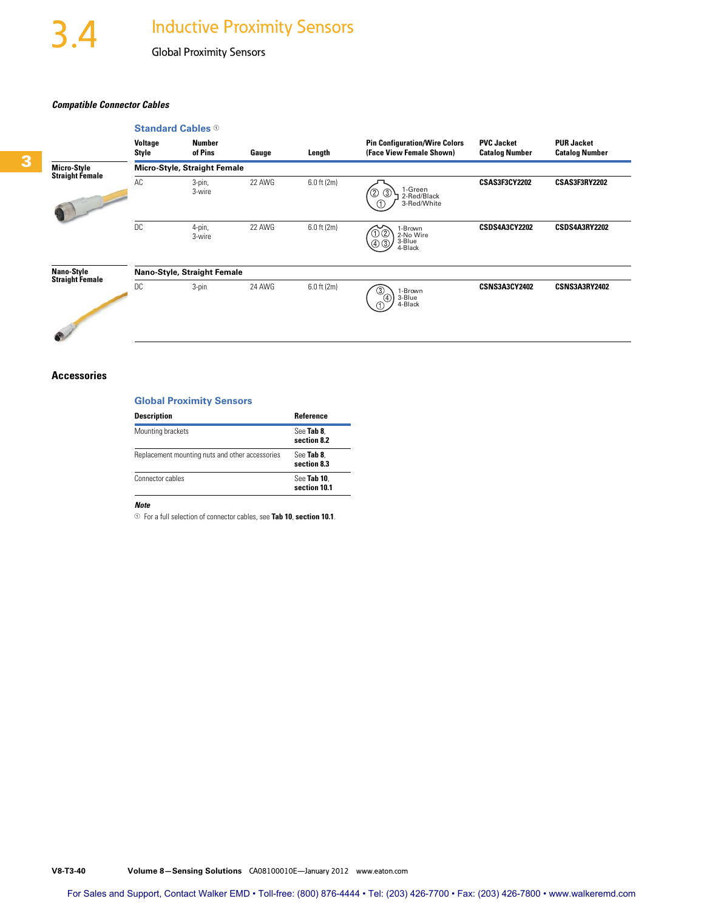#### *Compatible Connector Cables*



#### **Accessories**

### **Global Proximity Sensors**

| <b>Description</b>                              | Reference                   |
|-------------------------------------------------|-----------------------------|
| Mounting brackets                               | See Tab 8.<br>section 8.2   |
| Replacement mounting nuts and other accessories | See Tab 8.<br>section 8.3   |
| Connector cables                                | See Tab 10.<br>section 10.1 |

#### *Note*

<sup>1</sup>For a full selection of connector cables, see **Tab 10**, **section 10.1**.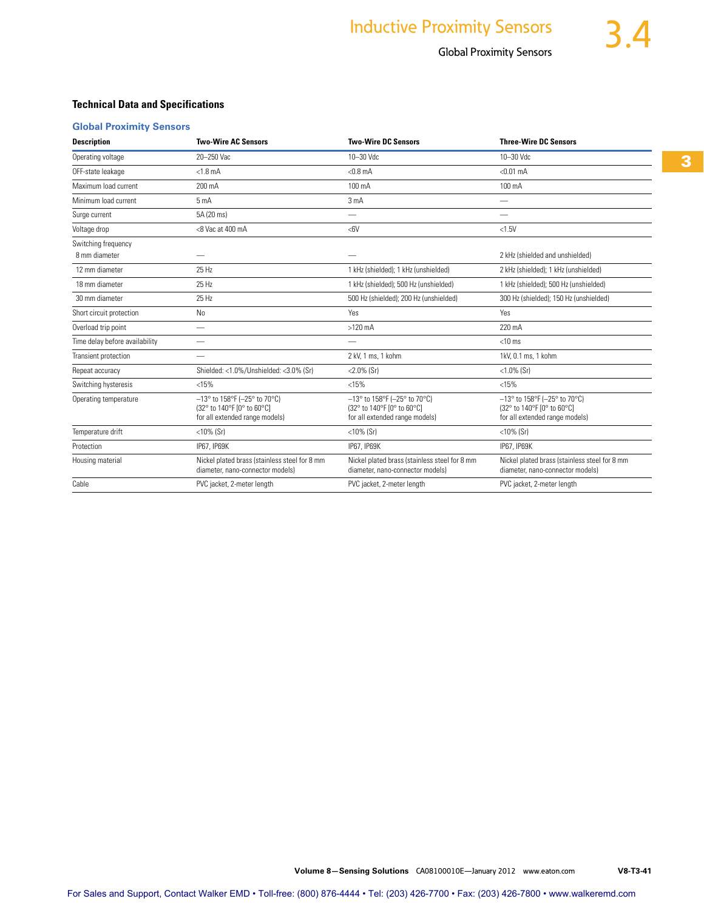## **Technical Data and Specifications**

## **Global Proximity Sensors**

| <b>Description</b>             | <b>Two-Wire AC Sensors</b>                                                                            | <b>Two-Wire DC Sensors</b>                                                                            | <b>Three-Wire DC Sensors</b>                                                                          |  |  |
|--------------------------------|-------------------------------------------------------------------------------------------------------|-------------------------------------------------------------------------------------------------------|-------------------------------------------------------------------------------------------------------|--|--|
| Operating voltage              | 20-250 Vac                                                                                            | 10-30 Vdc                                                                                             | 10-30 Vdc                                                                                             |  |  |
| OFF-state leakage              | $< 1.8$ mA                                                                                            | $< 0.8$ mA                                                                                            | $< 0.01$ mA                                                                                           |  |  |
| Maximum load current           | 200 mA                                                                                                | 100 mA                                                                                                | 100 mA                                                                                                |  |  |
| Minimum load current           | 5mA                                                                                                   | 3 <sub>m</sub> A                                                                                      | $\overline{\phantom{0}}$                                                                              |  |  |
| Surge current                  | 5A (20 ms)                                                                                            | $\overline{\phantom{0}}$                                                                              |                                                                                                       |  |  |
| Voltage drop                   | <8 Vac at 400 mA                                                                                      | <6V                                                                                                   | <1.5V                                                                                                 |  |  |
| Switching frequency            |                                                                                                       |                                                                                                       |                                                                                                       |  |  |
| 8 mm diameter                  |                                                                                                       |                                                                                                       | 2 kHz (shielded and unshielded)                                                                       |  |  |
| 12 mm diameter                 | 25 Hz                                                                                                 | 1 kHz (shielded); 1 kHz (unshielded)                                                                  | 2 kHz (shielded); 1 kHz (unshielded)                                                                  |  |  |
| 18 mm diameter                 | 25 Hz                                                                                                 | 1 kHz (shielded): 500 Hz (unshielded)                                                                 | 1 kHz (shielded): 500 Hz (unshielded)                                                                 |  |  |
| 30 mm diameter                 | 25 Hz                                                                                                 | 500 Hz (shielded); 200 Hz (unshielded)                                                                | 300 Hz (shielded); 150 Hz (unshielded)                                                                |  |  |
| Short circuit protection       | N <sub>0</sub>                                                                                        | Yes                                                                                                   | Yes                                                                                                   |  |  |
| Overload trip point            |                                                                                                       | $>120$ mA                                                                                             | 220 mA                                                                                                |  |  |
| Time delay before availability |                                                                                                       |                                                                                                       | $<$ 10 ms                                                                                             |  |  |
| Transient protection           |                                                                                                       | 2 kV, 1 ms, 1 kohm                                                                                    | 1kV, 0.1 ms, 1 kohm                                                                                   |  |  |
| Repeat accuracy                | Shielded: <1.0%/Unshielded: <3.0% (Sr)                                                                | $< 2.0\%$ (Sr)                                                                                        | $<1.0\%$ (Sr)                                                                                         |  |  |
| Switching hysteresis           | < 15%                                                                                                 | < 15%                                                                                                 | < 15%                                                                                                 |  |  |
| Operating temperature          | $-13^{\circ}$ to 158°F (-25° to 70°C)<br>(32° to 140°F [0° to 60°C]<br>for all extended range models) | $-13^{\circ}$ to 158°F (-25° to 70°C)<br>(32° to 140°F [0° to 60°C]<br>for all extended range models) | $-13^{\circ}$ to 158°F (-25° to 70°C)<br>(32° to 140°F [0° to 60°C]<br>for all extended range models) |  |  |
| Temperature drift              | $<$ 10% (Sr)                                                                                          | $<$ 10% (Sr)                                                                                          | $<$ 10% (Sr)                                                                                          |  |  |
| Protection                     | IP67, IP69K                                                                                           | IP67, IP69K                                                                                           | IP67, IP69K                                                                                           |  |  |
| Housing material               | Nickel plated brass (stainless steel for 8 mm<br>diameter, nano-connector models)                     | Nickel plated brass (stainless steel for 8 mm<br>diameter, nano-connector models)                     | Nickel plated brass (stainless steel for 8 mm<br>diameter, nano-connector models)                     |  |  |
| Cable                          | PVC jacket, 2-meter length                                                                            | PVC jacket, 2-meter length                                                                            | PVC jacket, 2-meter length                                                                            |  |  |

**3**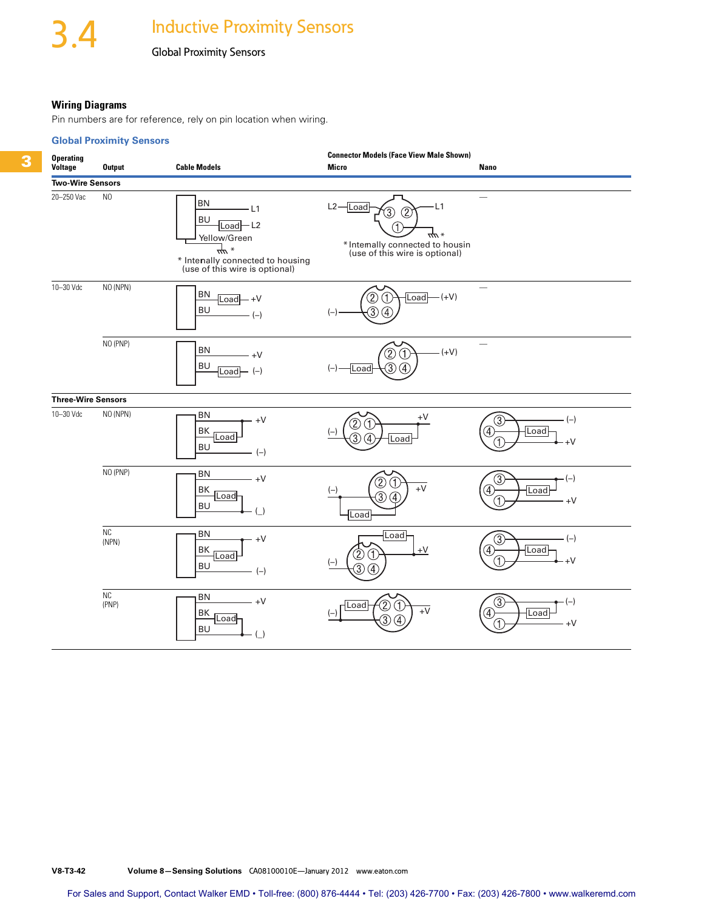#### **Wiring Diagrams**

Pin numbers are for reference, rely on pin location when wiring.

#### **Global Proximity Sensors**



**V8-T3-42 Volume 8—Sensing Solutions** CA08100010E—January 2012 www.eaton.com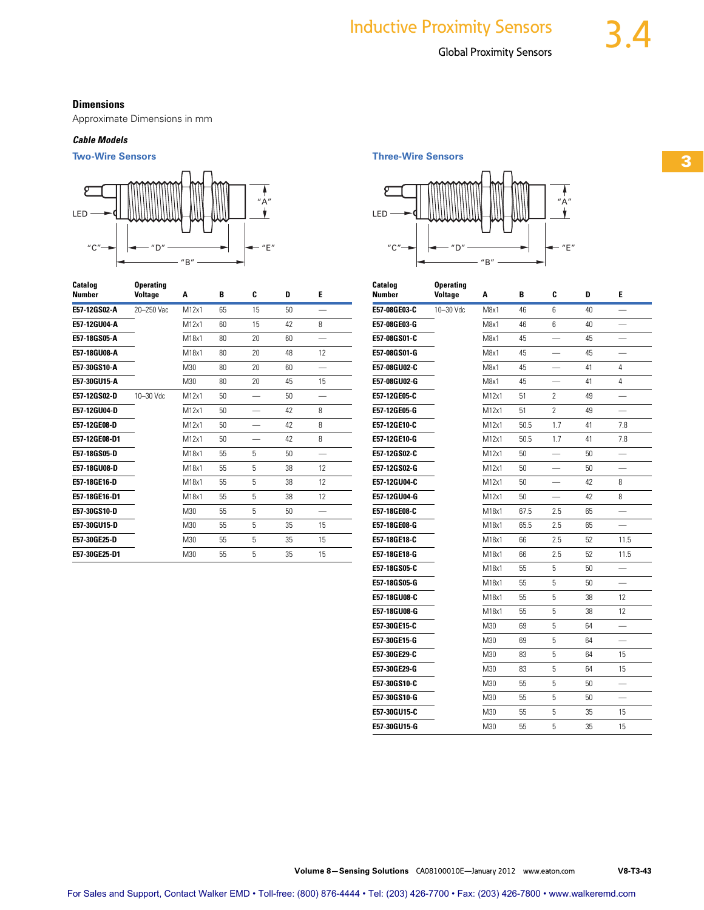### **Dimensions**

Approximate Dimensions in mm

### *Cable Models*



| Catalog<br><b>Number</b> | <b>Operating</b><br><b>Voltage</b> | A     | В  | C  | D  | E  |  |
|--------------------------|------------------------------------|-------|----|----|----|----|--|
| E57-12GS02-A             | 20-250 Vac                         | M12x1 | 65 | 15 | 50 |    |  |
| E57-12GU04-A             |                                    | M12x1 | 60 | 15 | 42 | 8  |  |
| E57-18GS05-A             |                                    | M18x1 | 80 | 20 | 60 |    |  |
| E57-18GU08-A             |                                    | M18x1 | 80 | 20 | 48 | 12 |  |
| E57-30GS10-A             |                                    | M30   | 80 | 20 | 60 |    |  |
| E57-30GU15-A             |                                    | M30   | 80 | 20 | 45 | 15 |  |
| E57-12GS02-D             | 10-30 Vdc                          | M12x1 | 50 |    | 50 |    |  |
| E57-12GU04-D             |                                    | M12x1 | 50 |    | 42 | 8  |  |
| E57-12GE08-D             |                                    | M12x1 | 50 |    | 42 | 8  |  |
| E57-12GE08-D1            |                                    | M12x1 | 50 |    | 42 | 8  |  |
| E57-18GS05-D             |                                    | M18x1 | 55 | 5  | 50 |    |  |
| E57-18GU08-D             |                                    | M18x1 | 55 | 5  | 38 | 12 |  |
| E57-18GE16-D             |                                    | M18x1 | 55 | 5  | 38 | 12 |  |
| E57-18GE16-D1            |                                    | M18x1 | 55 | 5  | 38 | 12 |  |
| E57-30GS10-D             |                                    | M30   | 55 | 5  | 50 |    |  |
| E57-30GU15-D             |                                    | M30   | 55 | 5  | 35 | 15 |  |
| E57-30GE25-D             |                                    | M30   | 55 | 5  | 35 | 15 |  |
| E57-30GE25-D1            |                                    | M30   | 55 | 5  | 35 | 15 |  |

**Two-Wire Sensors Three-Wire Sensors**



| Catalog<br>Number | <b>Operating</b><br><b>Voltage</b> | Α                | B    | C   | D  | E    |  |
|-------------------|------------------------------------|------------------|------|-----|----|------|--|
| E57-08GE03-C      | 10-30 Vdc                          | M <sub>8x1</sub> | 46   | 6   | 40 |      |  |
| E57-08GE03-G      |                                    | M8x1             | 46   | 6   | 40 |      |  |
| E57-08GS01-C      |                                    | M8x1             | 45   |     | 45 |      |  |
| E57-08GS01-G      |                                    | M8x1             | 45   |     | 45 |      |  |
| E57-08GU02-C      |                                    | M8x1             | 45   |     | 41 | 4    |  |
| E57-08GU02-G      |                                    | M8x1             | 45   |     | 41 | 4    |  |
| E57-12GE05-C      |                                    | M12x1            | 51   | 2   | 49 |      |  |
| E57-12GE05-G      |                                    | M12x1            | 51   | 2   | 49 |      |  |
| E57-12GE10-C      |                                    | M12x1            | 50.5 | 1.7 | 41 | 7.8  |  |
| E57-12GE10-G      |                                    | M12x1            | 50.5 | 1.7 | 41 | 7.8  |  |
| E57-12GS02-C      |                                    | M12x1            | 50   |     | 50 |      |  |
| E57-12GS02-G      |                                    | M12x1            | 50   |     | 50 |      |  |
| E57-12GU04-C      |                                    | M12x1            | 50   |     | 42 | 8    |  |
| E57-12GU04-G      |                                    | M12x1            | 50   |     | 42 | 8    |  |
| E57-18GE08-C      |                                    | M18x1            | 67.5 | 2.5 | 65 |      |  |
| E57-18GE08-G      |                                    | M18x1            | 65.5 | 2.5 | 65 |      |  |
| E57-18GE18-C      |                                    | M18x1            | 66   | 2.5 | 52 | 11.5 |  |
| E57-18GE18-G      |                                    | M18x1            | 66   | 2.5 | 52 | 11.5 |  |
| E57-18GS05-C      |                                    | M18x1            | 55   | 5   | 50 |      |  |
| E57-18GS05-G      |                                    | M18x1            | 55   | 5   | 50 |      |  |
| E57-18GU08-C      |                                    | M18x1            | 55   | 5   | 38 | 12   |  |
| E57-18GU08-G      |                                    | M18x1            | 55   | 5   | 38 | 12   |  |
| E57-30GE15-C      |                                    | M30              | 69   | 5   | 64 |      |  |
| E57-30GE15-G      |                                    | M30              | 69   | 5   | 64 |      |  |
| E57-30GE29-C      |                                    | M30              | 83   | 5   | 64 | 15   |  |
| E57-30GE29-G      |                                    | M30              | 83   | 5   | 64 | 15   |  |
| E57-30GS10-C      |                                    | M30              | 55   | 5   | 50 |      |  |
| E57-30GS10-G      |                                    | M30              | 55   | 5   | 50 |      |  |
| E57-30GU15-C      |                                    | M30              | 55   | 5   | 35 | 15   |  |
| E57-30GU15-G      |                                    | M30              | 55   | 5   | 35 | 15   |  |